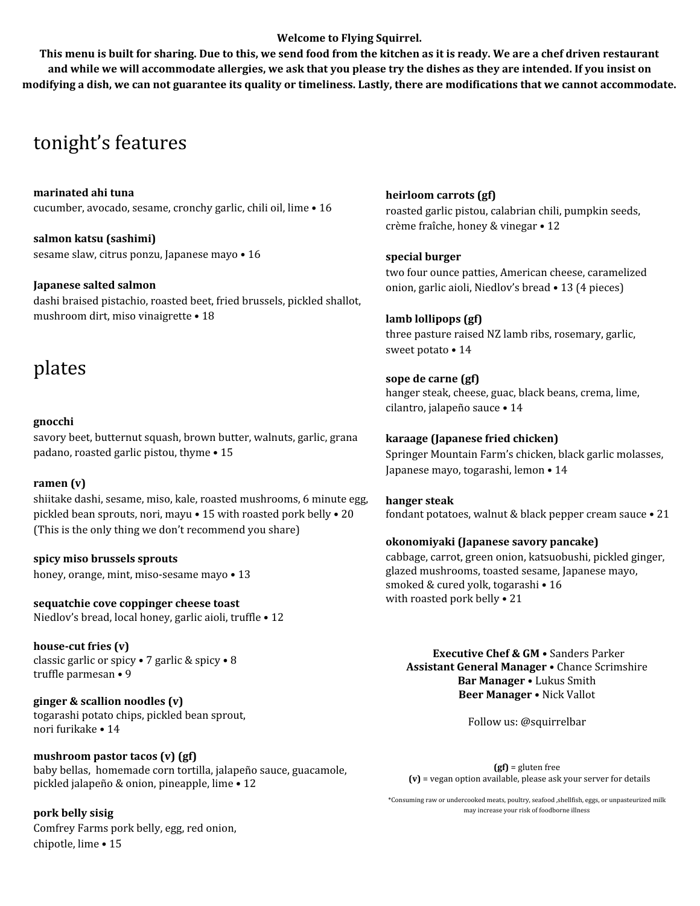#### **Welcome to Flying Squirrel.**

This menu is built for sharing. Due to this, we send food from the kitchen as it is ready. We are a chef driven restaurant and while we will accommodate allergies, we ask that you please try the dishes as they are intended. If you insist on modifying a dish, we can not guarantee its quality or timeliness. Lastly, there are modifications that we cannot accommodate.

## tonight's features

**marinated ahi tuna** cucumber, avocado, sesame, cronchy garlic, chili oil, lime • 16

**salmon katsu (sashimi)** sesame slaw, citrus ponzu, Japanese mayo • 16

**Japanese salted salmon** dashi braised pistachio, roasted beet, fried brussels, pickled shallot, mushroom dirt, miso vinaigrette • 18

# plates

#### **gnocchi**

savory beet, butternut squash, brown butter, walnuts, garlic, grana padano, roasted garlic pistou, thyme • 15

#### **ramen (v)**

shiitake dashi, sesame, miso, kale, roasted mushrooms, 6 minute egg, pickled bean sprouts, nori, mayu • 15 with roasted pork belly • 20 (This is the only thing we don't recommend you share)

**spicy miso brussels sprouts** honey, orange, mint, miso-sesame mayo • 13

**sequatchie cove coppinger cheese toast** Niedlov's bread, local honey, garlic aioli, truffle • 12

**house-cut fries (v)** classic garlic or spicy • 7 garlic & spicy • 8 truffle parmesan • 9

**ginger & scallion noodles (v)** togarashi potato chips, pickled bean sprout, nori furikake • 14

**mushroom pastor tacos (v) (gf)** baby bellas, homemade corn tortilla, jalapeño sauce, guacamole, pickled jalapeño & onion, pineapple, lime • 12

**pork belly sisig** Comfrey Farms pork belly, egg, red onion, chipotle, lime • 15

**heirloom carrots (gf)** roasted garlic pistou, calabrian chili, pumpkin seeds, crème fraîche, honey & vinegar • 12

**special burger** two four ounce patties, American cheese, caramelized onion, garlic aioli, Niedlov's bread • 13 (4 pieces)

**lamb lollipops (gf)** three pasture raised NZ lamb ribs, rosemary, garlic, sweet potato • 14

**sope de carne (gf)** hanger steak, cheese, guac, black beans, crema, lime, cilantro, jalapeño sauce • 14

**karaage (Japanese fried chicken)** Springer Mountain Farm's chicken, black garlic molasses, Japanese mayo, togarashi, lemon • 14

**hanger steak** fondant potatoes, walnut & black pepper cream sauce • 21

#### **okonomiyaki (Japanese savory pancake)**

cabbage, carrot, green onion, katsuobushi, pickled ginger, glazed mushrooms, toasted sesame, Japanese mayo, smoked & cured yolk, togarashi • 16 with roasted pork belly • 21

**Executive Chef & GM** • Sanders Parker **Assistant General Manager** • Chance Scrimshire **Bar Manager** • Lukus Smith **Beer Manager** • Nick Vallot

Follow us: @squirrelbar

**(gf)** = gluten free **(v)** = vegan option available, please ask your server for details

\*Consuming raw or undercooked meats, poultry, seafood ,shellfish, eggs, or unpasteurized milk may increase your risk of foodborne illness